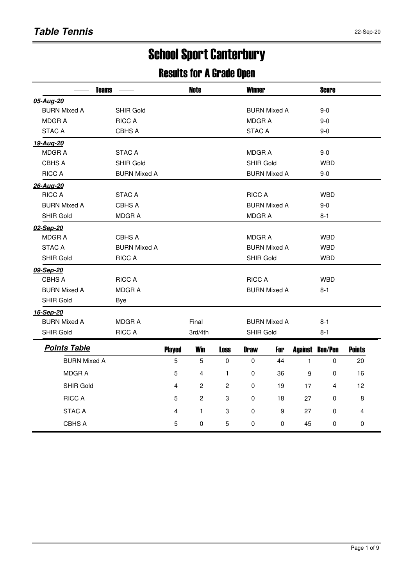# School Sport Canterbury

#### Results for A Grade Open

|                     | <b>Teams</b>        |                | <b>Winner</b><br><b>Note</b> |                |                  |                     |              |                        |               |
|---------------------|---------------------|----------------|------------------------------|----------------|------------------|---------------------|--------------|------------------------|---------------|
| 05-Aug-20           |                     |                |                              |                |                  |                     |              |                        |               |
| <b>BURN Mixed A</b> | <b>SHIR Gold</b>    |                |                              |                |                  | <b>BURN Mixed A</b> |              | $9 - 0$                |               |
| <b>MDGRA</b>        | <b>RICC A</b>       |                |                              |                | <b>MDGRA</b>     |                     |              | $9-0$                  |               |
| <b>STAC A</b>       | CBHS A              |                |                              |                | <b>STAC A</b>    |                     |              | $9 - 0$                |               |
| 19-Aug-20           |                     |                |                              |                |                  |                     |              |                        |               |
| <b>MDGRA</b>        | <b>STAC A</b>       |                |                              |                | <b>MDGRA</b>     |                     |              | $9 - 0$                |               |
| <b>CBHS A</b>       | <b>SHIR Gold</b>    |                |                              |                | <b>SHIR Gold</b> |                     |              | <b>WBD</b>             |               |
| <b>RICC A</b>       | <b>BURN Mixed A</b> |                |                              |                |                  | <b>BURN Mixed A</b> |              | $9-0$                  |               |
| 26-Aug-20           |                     |                |                              |                |                  |                     |              |                        |               |
| <b>RICC A</b>       | <b>STAC A</b>       |                |                              |                | <b>RICC A</b>    |                     |              | <b>WBD</b>             |               |
| <b>BURN Mixed A</b> | <b>CBHS A</b>       |                |                              |                |                  | <b>BURN Mixed A</b> |              | $9 - 0$                |               |
| <b>SHIR Gold</b>    | <b>MDGRA</b>        |                |                              |                | <b>MDGRA</b>     |                     |              | $8 - 1$                |               |
| 02-Sep-20           |                     |                |                              |                |                  |                     |              |                        |               |
| <b>MDGRA</b>        | CBHS A              |                |                              |                | <b>MDGRA</b>     |                     |              | <b>WBD</b>             |               |
| <b>STAC A</b>       | <b>BURN Mixed A</b> |                |                              |                |                  | <b>BURN Mixed A</b> |              | <b>WBD</b>             |               |
| <b>SHIR Gold</b>    | <b>RICC A</b>       |                |                              |                | <b>SHIR Gold</b> |                     |              | <b>WBD</b>             |               |
| 09-Sep-20           |                     |                |                              |                |                  |                     |              |                        |               |
| CBHS A              | <b>RICC A</b>       |                |                              |                | <b>RICC A</b>    |                     |              | <b>WBD</b>             |               |
| <b>BURN Mixed A</b> | <b>MDGRA</b>        |                |                              |                |                  | <b>BURN Mixed A</b> |              | $8 - 1$                |               |
| <b>SHIR Gold</b>    | <b>Bye</b>          |                |                              |                |                  |                     |              |                        |               |
| 16-Sep-20           |                     |                |                              |                |                  |                     |              |                        |               |
| <b>BURN Mixed A</b> | <b>MDGRA</b>        |                | Final                        |                |                  | <b>BURN Mixed A</b> |              | $8 - 1$                |               |
| <b>SHIR Gold</b>    | <b>RICC A</b>       |                | 3rd/4th                      |                | <b>SHIR Gold</b> |                     |              | 8-1                    |               |
| <b>Points Table</b> |                     | <b>Played</b>  | <b>Win</b>                   | <b>Loss</b>    | <b>Draw</b>      | For                 |              | <b>Against Bon/Pen</b> | <b>Points</b> |
| <b>BURN Mixed A</b> |                     | 5              | 5                            | $\pmb{0}$      | 0                | 44                  | $\mathbf{1}$ | 0                      | 20            |
| MDGR A              |                     | 5              | 4                            | 1              | 0                | 36                  | 9            | 0                      | 16            |
| <b>SHIR Gold</b>    |                     | $\overline{4}$ | $\overline{2}$               | $\overline{c}$ | 0                | 19                  | 17           | 4                      | 12            |
| <b>RICC A</b>       |                     | 5              | $\overline{2}$               | 3              | $\Omega$         | 18                  | 27           | $\Omega$               | 8             |
| <b>STAC A</b>       |                     | 4              | $\mathbf{1}$                 | 3              | $\Omega$         | 9                   | 27           | $\Omega$               | 4             |
| CBHS A              |                     | 5              | 0                            | 5              | $\Omega$         | $\Omega$            | 45           | $\Omega$               | $\Omega$      |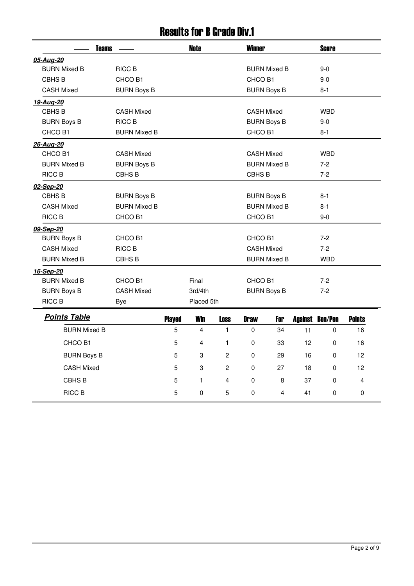### Results for B Grade Div.1

|                     | <b>Teams</b>        |               |            |                | <b>Winner</b>      |                     |    | <b>Score</b>           |               |
|---------------------|---------------------|---------------|------------|----------------|--------------------|---------------------|----|------------------------|---------------|
| 05-Aug-20           |                     |               |            |                |                    |                     |    |                        |               |
| <b>BURN Mixed B</b> | RICC B              |               |            |                |                    | <b>BURN Mixed B</b> |    | $9-0$                  |               |
| CBHS <sub>B</sub>   | CHCO B1             |               |            |                | CHCO B1            |                     |    | $9-0$                  |               |
| <b>CASH Mixed</b>   | <b>BURN Boys B</b>  |               |            |                |                    | <b>BURN Boys B</b>  |    | $8 - 1$                |               |
| 19-Aug-20           |                     |               |            |                |                    |                     |    |                        |               |
| CBHS <sub>B</sub>   | <b>CASH Mixed</b>   |               |            |                | <b>CASH Mixed</b>  |                     |    | <b>WBD</b>             |               |
| <b>BURN Boys B</b>  | <b>RICC B</b>       |               |            |                |                    | <b>BURN Boys B</b>  |    | $9 - 0$                |               |
| CHCO B1             | <b>BURN Mixed B</b> |               |            |                | CHCO B1            |                     |    | $8 - 1$                |               |
| 26-Aug-20           |                     |               |            |                |                    |                     |    |                        |               |
| CHCO B1             | <b>CASH Mixed</b>   |               |            |                | <b>CASH Mixed</b>  |                     |    | <b>WBD</b>             |               |
| <b>BURN Mixed B</b> | <b>BURN Boys B</b>  |               |            |                |                    | <b>BURN Mixed B</b> |    | $7-2$                  |               |
| <b>RICC B</b>       | CBHS <sub>B</sub>   |               |            |                | CBHS <sub>B</sub>  |                     |    | $7-2$                  |               |
| 02-Sep-20           |                     |               |            |                |                    |                     |    |                        |               |
| CBHS <sub>B</sub>   | <b>BURN Boys B</b>  |               |            |                |                    | <b>BURN Boys B</b>  |    | $8 - 1$                |               |
| <b>CASH Mixed</b>   | <b>BURN Mixed B</b> |               |            |                |                    | <b>BURN Mixed B</b> |    | $8 - 1$                |               |
| <b>RICC B</b>       | CHCO B1             |               |            |                | CHCO B1            |                     |    | $9-0$                  |               |
| 09-Sep-20           |                     |               |            |                |                    |                     |    |                        |               |
| <b>BURN Boys B</b>  | CHCO B1             |               |            |                | CHCO <sub>B1</sub> |                     |    | $7-2$                  |               |
| <b>CASH Mixed</b>   | <b>RICC B</b>       |               |            |                | <b>CASH Mixed</b>  |                     |    | $7-2$                  |               |
| <b>BURN Mixed B</b> | CBHS B              |               |            |                |                    | <b>BURN Mixed B</b> |    | <b>WBD</b>             |               |
| 16-Sep-20           |                     |               |            |                |                    |                     |    |                        |               |
| <b>BURN Mixed B</b> | CHCO B1             |               | Final      |                | CHCO B1            |                     |    | $7 - 2$                |               |
| <b>BURN Boys B</b>  | <b>CASH Mixed</b>   |               | 3rd/4th    |                |                    | <b>BURN Boys B</b>  |    | $7 - 2$                |               |
| <b>RICC B</b>       | Bye                 |               | Placed 5th |                |                    |                     |    |                        |               |
| <b>Points Table</b> |                     | <b>Played</b> | <b>Win</b> | <b>Loss</b>    | <b>Draw</b>        | For                 |    | <b>Against Bon/Pen</b> | <b>Points</b> |
| <b>BURN Mixed B</b> |                     | 5             | 4          | $\mathbf{1}$   | $\Omega$           | 34                  | 11 | $\Omega$               | 16            |
| CHCO B1             |                     | 5             | 4          | $\mathbf{1}$   | 0                  | 33                  | 12 | 0                      | 16            |
|                     |                     |               |            |                |                    |                     |    |                        |               |
| <b>BURN Boys B</b>  |                     | 5             | 3          | $\overline{2}$ | 0                  | 29                  | 16 | 0                      | 12            |
| <b>CASH Mixed</b>   |                     | 5             | 3          | $\overline{2}$ | $\Omega$           | 27                  | 18 | $\Omega$               | 12            |
| CBHS B              |                     | 5             | 1          | 4              | 0                  | 8                   | 37 | 0                      | 4             |
| RICC B              |                     | 5             | $\Omega$   | 5              | $\mathbf{0}$       | 4                   | 41 | 0                      | 0             |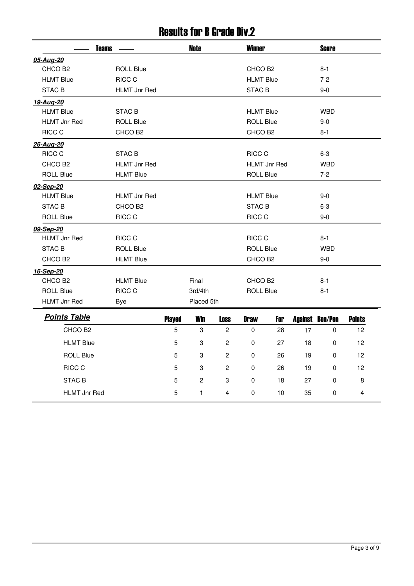### Results for B Grade Div.2

| <b>Teams</b>        |                     |               | <b>Note</b>    |                | <b>Winner</b>       |                     |    | <b>Score</b>           |               |
|---------------------|---------------------|---------------|----------------|----------------|---------------------|---------------------|----|------------------------|---------------|
| 05-Aug-20           |                     |               |                |                |                     |                     |    |                        |               |
| CHCO B <sub>2</sub> | <b>ROLL Blue</b>    |               |                |                | CHCO B2             |                     |    | $8 - 1$                |               |
| <b>HLMT Blue</b>    | RICC C              |               |                |                | <b>HLMT Blue</b>    |                     |    | $7-2$                  |               |
| STAC <sub>B</sub>   | <b>HLMT Jnr Red</b> |               |                |                | STAC B              |                     |    | $9-0$                  |               |
| 19-Aug-20           |                     |               |                |                |                     |                     |    |                        |               |
| <b>HLMT Blue</b>    | <b>STAC B</b>       |               |                |                | <b>HLMT Blue</b>    |                     |    | <b>WBD</b>             |               |
| <b>HLMT Jnr Red</b> | <b>ROLL Blue</b>    |               |                |                | <b>ROLL Blue</b>    |                     |    | $9 - 0$                |               |
| RICC C              | CHCO B <sub>2</sub> |               |                |                | CHCO <sub>B2</sub>  |                     |    | $8 - 1$                |               |
| 26-Aug-20           |                     |               |                |                |                     |                     |    |                        |               |
| RICC C              | STAC B              |               |                |                | RICC C              |                     |    | $6 - 3$                |               |
| CHCO B <sub>2</sub> | <b>HLMT Jnr Red</b> |               |                |                |                     | <b>HLMT Jnr Red</b> |    | <b>WBD</b>             |               |
| <b>ROLL Blue</b>    | <b>HLMT Blue</b>    |               |                |                | <b>ROLL Blue</b>    |                     |    | $7-2$                  |               |
| 02-Sep-20           |                     |               |                |                |                     |                     |    |                        |               |
| <b>HLMT Blue</b>    | <b>HLMT Jnr Red</b> |               |                |                | <b>HLMT Blue</b>    |                     |    | $9-0$                  |               |
| <b>STAC B</b>       | CHCO B <sub>2</sub> |               |                |                | <b>STAC B</b>       |                     |    | $6 - 3$                |               |
| <b>ROLL Blue</b>    | RICC C              |               |                |                | RICC C              |                     |    | $9-0$                  |               |
| 09-Sep-20           |                     |               |                |                |                     |                     |    |                        |               |
| <b>HLMT Jnr Red</b> | RICC C              |               |                |                | RICC C              |                     |    | $8 - 1$                |               |
| STAC B              | <b>ROLL Blue</b>    |               |                |                | <b>ROLL Blue</b>    |                     |    | <b>WBD</b>             |               |
| CHCO B <sub>2</sub> | <b>HLMT Blue</b>    |               |                |                | CHCO <sub>B2</sub>  |                     |    | $9-0$                  |               |
| 16-Sep-20           |                     |               |                |                |                     |                     |    |                        |               |
| CHCO B <sub>2</sub> | <b>HLMT Blue</b>    |               | Final          |                | CHCO B <sub>2</sub> |                     |    | $8 - 1$                |               |
| <b>ROLL Blue</b>    | RICC C              |               | 3rd/4th        |                | <b>ROLL Blue</b>    |                     |    | $8 - 1$                |               |
| <b>HLMT Jnr Red</b> | <b>Bye</b>          |               | Placed 5th     |                |                     |                     |    |                        |               |
| <b>Points Table</b> |                     | <b>Played</b> | <b>Win</b>     | <b>Loss</b>    | <b>Draw</b>         | For                 |    | <b>Against Bon/Pen</b> | <b>Points</b> |
| CHCO B <sub>2</sub> |                     | 5             | 3              | $\mathbf{2}$   | $\mathbf 0$         | 28                  | 17 | 0                      | 12            |
| <b>HLMT Blue</b>    |                     | 5             | 3              | $\overline{2}$ | $\mathbf 0$         | 27                  | 18 | 0                      | 12            |
| <b>ROLL Blue</b>    |                     | 5             | 3              | $\overline{2}$ | 0                   | 26                  | 19 | 0                      | 12            |
| RICC C              |                     | 5             | 3              | 2              | 0                   | 26                  | 19 | 0                      | 12            |
| <b>STAC B</b>       |                     | 5             | $\overline{c}$ | 3              | 0                   | 18                  | 27 | $\Omega$               | 8             |
| <b>HLMT Jnr Red</b> |                     | 5             | 1              | 4              | 0                   | 10                  | 35 | 0                      | 4             |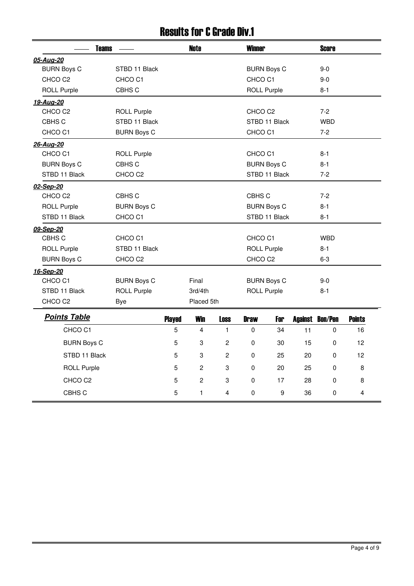### Results for C Grade Div.1

| <b>Teams</b>                              |                | <b>Note</b>    |                         | <b>Winner</b>      |                    |    | <b>Score</b>           |               |
|-------------------------------------------|----------------|----------------|-------------------------|--------------------|--------------------|----|------------------------|---------------|
| 05-Aug-20                                 |                |                |                         |                    |                    |    |                        |               |
| <b>BURN Boys C</b><br>STBD 11 Black       |                |                |                         |                    | <b>BURN Boys C</b> |    | $9-0$                  |               |
| CHCO <sub>C2</sub><br>CHCO <sub>C1</sub>  |                |                |                         | CHCO <sub>C1</sub> |                    |    | $9-0$                  |               |
| <b>ROLL Purple</b><br>CBHS C              |                |                |                         | <b>ROLL Purple</b> |                    |    | $8 - 1$                |               |
| 19-Aug-20                                 |                |                |                         |                    |                    |    |                        |               |
| CHCO C <sub>2</sub><br><b>ROLL Purple</b> |                |                |                         | CHCO <sub>C2</sub> |                    |    | $7-2$                  |               |
| CBHS C<br>STBD 11 Black                   |                |                |                         |                    | STBD 11 Black      |    | <b>WBD</b>             |               |
| CHCO <sub>C1</sub><br><b>BURN Boys C</b>  |                |                |                         | CHCO C1            |                    |    | $7 - 2$                |               |
| 26-Aug-20                                 |                |                |                         |                    |                    |    |                        |               |
| CHCO C1<br><b>ROLL Purple</b>             |                |                |                         | CHCO C1            |                    |    | $8 - 1$                |               |
| <b>BURN Boys C</b><br>CBHS C              |                |                |                         |                    | <b>BURN Boys C</b> |    | $8 - 1$                |               |
| STBD 11 Black<br>CHCO C2                  |                |                |                         |                    | STBD 11 Black      |    | $7 - 2$                |               |
| 02-Sep-20                                 |                |                |                         |                    |                    |    |                        |               |
| CHCO <sub>C2</sub><br>CBHS C              |                |                |                         | CBHS C             |                    |    | $7 - 2$                |               |
| <b>ROLL Purple</b><br><b>BURN Boys C</b>  |                |                |                         |                    | <b>BURN Boys C</b> |    | $8 - 1$                |               |
| STBD 11 Black<br>CHCO <sub>C1</sub>       |                |                |                         |                    | STBD 11 Black      |    | $8 - 1$                |               |
| 09-Sep-20                                 |                |                |                         |                    |                    |    |                        |               |
| CBHS C<br>CHCO <sub>C1</sub>              |                |                |                         | CHCO C1            |                    |    | <b>WBD</b>             |               |
| <b>ROLL Purple</b><br>STBD 11 Black       |                |                |                         | <b>ROLL Purple</b> |                    |    | $8 - 1$                |               |
| CHCO <sub>C2</sub><br><b>BURN Boys C</b>  |                |                |                         | CHCO <sub>C2</sub> |                    |    | $6 - 3$                |               |
| 16-Sep-20                                 |                |                |                         |                    |                    |    |                        |               |
| CHCO <sub>C1</sub><br><b>BURN Boys C</b>  |                | Final          |                         |                    | <b>BURN Boys C</b> |    | $9-0$                  |               |
| STBD 11 Black<br><b>ROLL Purple</b>       |                | 3rd/4th        |                         | <b>ROLL Purple</b> |                    |    | $8 - 1$                |               |
| CHCO <sub>C2</sub><br><b>Bye</b>          |                | Placed 5th     |                         |                    |                    |    |                        |               |
| <b>Points Table</b>                       | <b>Played</b>  | <b>Win</b>     | <b>Loss</b>             | <b>Draw</b>        | For                |    | <b>Against Bon/Pen</b> | <b>Points</b> |
| CHCO C1                                   | 5              | 4              | $\mathbf{1}$            | 0                  | 34                 | 11 | 0                      | 16            |
| <b>BURN Boys C</b>                        | 5              | 3              | $\mathbf{2}$            | 0                  | 30                 | 15 | 0                      | 12            |
| STBD 11 Black                             | 5              | 3              | $\overline{c}$          | 0                  | 25                 | 20 | 0                      | 12            |
| <b>ROLL Purple</b>                        | $\overline{5}$ | $\overline{c}$ | 3                       | 0                  | 20                 | 25 | 0                      | 8             |
| CHCO C <sub>2</sub>                       | 5              | $\overline{c}$ | 3                       | 0                  | 17                 | 28 | $\Omega$               | 8             |
| CBHS C                                    | 5              | $\mathbf{1}$   | $\overline{\mathbf{4}}$ | $\mathbf{0}$       | 9                  | 36 | 0                      | 4             |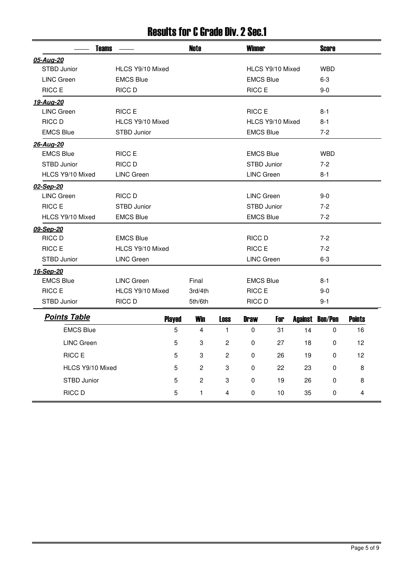### Results for C Grade Div. 2 Sec.1

| <b>Teams</b>        |                   |               | <b>Note</b>    |                | <b>Winner</b>     |                  |    | <b>Score</b>           |               |
|---------------------|-------------------|---------------|----------------|----------------|-------------------|------------------|----|------------------------|---------------|
| 05-Aug-20           |                   |               |                |                |                   |                  |    |                        |               |
| STBD Junior         | HLCS Y9/10 Mixed  |               |                |                |                   | HLCS Y9/10 Mixed |    | <b>WBD</b>             |               |
| <b>LINC Green</b>   | <b>EMCS Blue</b>  |               |                |                | <b>EMCS Blue</b>  |                  |    | $6-3$                  |               |
| RICC E              | RICC D            |               |                |                | RICC E            |                  |    | $9-0$                  |               |
| 19-Aug-20           |                   |               |                |                |                   |                  |    |                        |               |
| <b>LINC Green</b>   | RICC E            |               |                |                | RICC E            |                  |    | $8 - 1$                |               |
| RICC D              | HLCS Y9/10 Mixed  |               |                |                |                   | HLCS Y9/10 Mixed |    | $8 - 1$                |               |
| <b>EMCS Blue</b>    | STBD Junior       |               |                |                | <b>EMCS Blue</b>  |                  |    | $7-2$                  |               |
| 26-Aug-20           |                   |               |                |                |                   |                  |    |                        |               |
| <b>EMCS Blue</b>    | RICC E            |               |                |                | <b>EMCS Blue</b>  |                  |    | <b>WBD</b>             |               |
| STBD Junior         | RICC D            |               |                |                | STBD Junior       |                  |    | $7-2$                  |               |
| HLCS Y9/10 Mixed    | <b>LINC Green</b> |               |                |                | <b>LINC Green</b> |                  |    | $8 - 1$                |               |
| 02-Sep-20           |                   |               |                |                |                   |                  |    |                        |               |
| <b>LINC Green</b>   | RICC D            |               |                |                | <b>LINC Green</b> |                  |    | $9-0$                  |               |
| RICC E              | STBD Junior       |               |                |                | STBD Junior       |                  |    | $7-2$                  |               |
| HLCS Y9/10 Mixed    | <b>EMCS Blue</b>  |               |                |                | <b>EMCS Blue</b>  |                  |    | $7 - 2$                |               |
| 09-Sep-20           |                   |               |                |                |                   |                  |    |                        |               |
| RICC D              | <b>EMCS Blue</b>  |               |                |                | RICC D            |                  |    | $7-2$                  |               |
| RICC E              | HLCS Y9/10 Mixed  |               |                |                | RICC E            |                  |    | $7-2$                  |               |
| STBD Junior         | <b>LINC Green</b> |               |                |                | <b>LINC Green</b> |                  |    | $6-3$                  |               |
| 16-Sep-20           |                   |               |                |                |                   |                  |    |                        |               |
| <b>EMCS Blue</b>    | <b>LINC Green</b> |               | Final          |                | <b>EMCS Blue</b>  |                  |    | $8 - 1$                |               |
| RICC E              | HLCS Y9/10 Mixed  |               | 3rd/4th        |                | RICC E            |                  |    | $9-0$                  |               |
| STBD Junior         | RICC D            |               | 5th/6th        |                | RICC D            |                  |    | $9 - 1$                |               |
| <b>Points Table</b> |                   | <b>Played</b> | <b>Win</b>     | <b>Loss</b>    | <b>Draw</b>       | For              |    | <b>Against Bon/Pen</b> | <b>Points</b> |
| <b>EMCS Blue</b>    |                   | 5             | 4              | $\mathbf{1}$   | 0                 | 31               | 14 | 0                      | 16            |
| <b>LINC Green</b>   |                   | 5             | 3              | $\overline{2}$ | 0                 | 27               | 18 | 0                      | 12            |
| RICC E              |                   | 5             | 3              | $\overline{2}$ | $\Omega$          | 26               | 19 | $\Omega$               | 12            |
| HLCS Y9/10 Mixed    |                   | 5             | $\overline{c}$ | 3              | 0                 | 22               | 23 | 0                      | 8             |
| STBD Junior         |                   | 5             | $\overline{c}$ | 3              | $\Omega$          | 19               | 26 | $\Omega$               | 8             |
| RICC D              |                   | 5             | 1              | 4              | 0                 | 10               | 35 | 0                      | 4             |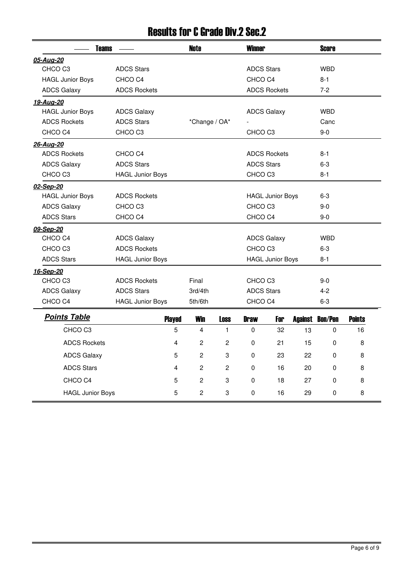### Results for C Grade Div.2 Sec.2

| <b>Teams</b>            |                         |   | <b>Note</b>    |                | <b>Winner</b>      |                         |         | <b>Score</b>   |               |
|-------------------------|-------------------------|---|----------------|----------------|--------------------|-------------------------|---------|----------------|---------------|
| 05-Aug-20               |                         |   |                |                |                    |                         |         |                |               |
| CHCO <sub>C3</sub>      | <b>ADCS Stars</b>       |   |                |                | <b>ADCS Stars</b>  |                         |         | <b>WBD</b>     |               |
| <b>HAGL Junior Boys</b> | CHCO <sub>C4</sub>      |   |                |                | CHCO <sub>C4</sub> |                         |         | $8 - 1$        |               |
| <b>ADCS Galaxy</b>      | <b>ADCS Rockets</b>     |   |                |                |                    | <b>ADCS Rockets</b>     |         | $7-2$          |               |
| 19-Aug-20               |                         |   |                |                |                    |                         |         |                |               |
| <b>HAGL Junior Boys</b> | <b>ADCS Galaxy</b>      |   |                |                | <b>ADCS Galaxy</b> |                         |         | <b>WBD</b>     |               |
| <b>ADCS Rockets</b>     | <b>ADCS Stars</b>       |   | *Change / OA*  |                |                    |                         |         | Canc           |               |
| CHCO <sub>C4</sub>      | CHCO <sub>C3</sub>      |   |                |                | CHCO <sub>C3</sub> |                         |         | $9-0$          |               |
| 26-Aug-20               |                         |   |                |                |                    |                         |         |                |               |
| <b>ADCS Rockets</b>     | CHCO <sub>C4</sub>      |   |                |                |                    | <b>ADCS Rockets</b>     |         | $8 - 1$        |               |
| <b>ADCS Galaxy</b>      | <b>ADCS Stars</b>       |   |                |                | <b>ADCS Stars</b>  |                         |         | $6-3$          |               |
| CHCO <sub>C3</sub>      | <b>HAGL Junior Boys</b> |   |                |                | CHCO <sub>C3</sub> |                         |         | $8 - 1$        |               |
| 02-Sep-20               |                         |   |                |                |                    |                         |         |                |               |
| <b>HAGL Junior Boys</b> | <b>ADCS Rockets</b>     |   |                |                |                    | <b>HAGL Junior Boys</b> |         | $6 - 3$        |               |
| <b>ADCS Galaxy</b>      | CHCO <sub>C3</sub>      |   |                |                | CHCO <sub>C3</sub> |                         |         | $9-0$          |               |
| <b>ADCS Stars</b>       | CHCO <sub>C4</sub>      |   |                |                | CHCO <sub>C4</sub> |                         |         | $9-0$          |               |
| 09-Sep-20               |                         |   |                |                |                    |                         |         |                |               |
| CHCO <sub>C4</sub>      | <b>ADCS Galaxy</b>      |   |                |                | <b>ADCS Galaxy</b> |                         |         | <b>WBD</b>     |               |
| CHCO <sub>C3</sub>      | <b>ADCS Rockets</b>     |   |                |                | CHCO <sub>C3</sub> |                         |         | $6 - 3$        |               |
| <b>ADCS Stars</b>       | <b>HAGL Junior Boys</b> |   |                |                |                    | <b>HAGL Junior Boys</b> |         | $8 - 1$        |               |
| 16-Sep-20               |                         |   |                |                |                    |                         |         |                |               |
| CHCO <sub>C3</sub>      | <b>ADCS Rockets</b>     |   | Final          |                | CHCO <sub>C3</sub> |                         |         | $9-0$          |               |
| <b>ADCS Galaxy</b>      | <b>ADCS Stars</b>       |   | 3rd/4th        |                | <b>ADCS Stars</b>  |                         |         | $4 - 2$        |               |
| CHCO <sub>C4</sub>      | <b>HAGL Junior Boys</b> |   | 5th/6th        |                | CHCO <sub>C4</sub> |                         |         | $6 - 3$        |               |
| <b>Points Table</b>     | <b>Played</b>           |   | <b>Win</b>     | <b>Loss</b>    | <b>Draw</b>        | For                     | Against | <b>Bon/Pen</b> | <b>Points</b> |
| CHCO <sub>C3</sub>      |                         | 5 | 4              | $\mathbf{1}$   | 0                  | 32                      | 13      | 0              | 16            |
| <b>ADCS Rockets</b>     |                         | 4 | 2              | $\overline{2}$ | 0                  | 21                      | 15      | 0              | 8             |
| <b>ADCS Galaxy</b>      |                         | 5 | 2              | 3              | 0                  | 23                      | 22      | 0              | 8             |
| <b>ADCS Stars</b>       |                         | 4 | $\overline{c}$ | $\mathbf{2}$   | 0                  | 16                      | 20      | 0              | 8             |
| CHCO C4                 |                         | 5 | $\overline{c}$ | 3              | $\Omega$           | 18                      | 27      | $\Omega$       | 8             |
| <b>HAGL Junior Boys</b> |                         | 5 | $\overline{c}$ | 3              | 0                  | 16                      | 29      | 0              | 8             |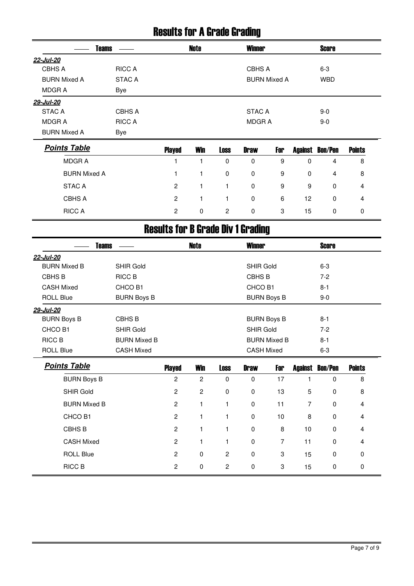### Results for A Grade Grading

|                     | <b>Teams</b>  | Note | <b>Winner</b>       | <b>Score</b> |  |
|---------------------|---------------|------|---------------------|--------------|--|
| 22-Jul-20           |               |      |                     |              |  |
| <b>CBHS A</b>       | <b>RICC A</b> |      | CBHS A              | $6 - 3$      |  |
| <b>BURN Mixed A</b> | STAC A        |      | <b>BURN Mixed A</b> | <b>WBD</b>   |  |
| MDGR A              | Bye           |      |                     |              |  |
| 29-Jul-20           |               |      |                     |              |  |
| <b>STAC A</b>       | CBHS A        |      | <b>STAC A</b>       | $9-0$        |  |
| MDGR A              | <b>RICC A</b> |      | MDGR A              | $9-0$        |  |
| <b>BURN Mixed A</b> | Bye           |      |                     |              |  |

| <b>Points Table</b> | <b>Played</b>  | Win      | <b>Loss</b> | <b>Draw</b> | For |    | <b>Against Bon/Pen</b> | <b>Points</b> |
|---------------------|----------------|----------|-------------|-------------|-----|----|------------------------|---------------|
| <b>MDGRA</b>        |                |          | 0           | 0           | 9   | 0  | 4                      | 8             |
| <b>BURN Mixed A</b> |                |          | 0           | 0           | 9   | 0  | 4                      | 8             |
| <b>STAC A</b>       | $\overline{c}$ |          |             | 0           | 9   | 9  | $\Omega$               | 4             |
| <b>CBHS A</b>       | $\overline{c}$ |          |             | 0           | 6   | 12 | 0                      | 4             |
| <b>RICC A</b>       | 2              | $\Omega$ | 2           | 0           | -3  | 15 | $\Omega$               | 0             |

# Results for B Grade Div 1 Grading

| <b>Teams</b>        |                     |                | <b>Note</b>    |             | <b>Winner</b>     |                     |    | <b>Score</b>           |               |  |
|---------------------|---------------------|----------------|----------------|-------------|-------------------|---------------------|----|------------------------|---------------|--|
| 22-Jul-20           |                     |                |                |             |                   |                     |    |                        |               |  |
| <b>BURN Mixed B</b> | <b>SHIR Gold</b>    |                |                |             | <b>SHIR Gold</b>  |                     |    | $6 - 3$                |               |  |
| CBHS <sub>B</sub>   | <b>RICC B</b>       |                |                |             | <b>CBHS B</b>     |                     |    | $7 - 2$                |               |  |
| <b>CASH Mixed</b>   | CHCO B1             |                |                |             | CHCO B1           |                     |    | $8 - 1$                |               |  |
| <b>ROLL Blue</b>    | <b>BURN Boys B</b>  |                |                |             |                   | <b>BURN Boys B</b>  |    | $9-0$                  |               |  |
| 29-Jul-20           |                     |                |                |             |                   |                     |    |                        |               |  |
| <b>BURN Boys B</b>  | CBHS B              |                |                |             |                   | <b>BURN Boys B</b>  |    | $8 - 1$                |               |  |
| CHCO B1             | <b>SHIR Gold</b>    |                |                |             | <b>SHIR Gold</b>  |                     |    | $7-2$                  |               |  |
| <b>RICC B</b>       | <b>BURN Mixed B</b> |                |                |             |                   | <b>BURN Mixed B</b> |    | $8 - 1$                |               |  |
| <b>ROLL Blue</b>    | <b>CASH Mixed</b>   |                |                |             | <b>CASH Mixed</b> |                     |    | $6 - 3$                |               |  |
|                     |                     |                |                |             |                   |                     |    |                        |               |  |
| <b>Points Table</b> |                     | <b>Played</b>  | <b>Win</b>     | <b>Loss</b> | <b>Draw</b>       | For                 |    | <b>Against Bon/Pen</b> | <b>Points</b> |  |
| <b>BURN Boys B</b>  |                     | $\overline{c}$ | $\overline{c}$ | 0           | $\mathbf 0$       | 17                  | 1  | 0                      | 8             |  |
| <b>SHIR Gold</b>    |                     | $\mathbf{2}$   | $\overline{c}$ | 0           | $\Omega$          | 13                  | 5  | 0                      | 8             |  |
| <b>BURN Mixed B</b> |                     | $\overline{2}$ | $\mathbf{1}$   | 1           | $\mathbf 0$       | 11                  | 7  | $\Omega$               | 4             |  |
| CHCO B1             |                     | $\overline{c}$ | $\mathbf{1}$   | 1           | $\Omega$          | 10                  | 8  | $\Omega$               | 4             |  |
| <b>CBHS B</b>       |                     | $\overline{c}$ | $\mathbf{1}$   | 1           | $\mathbf 0$       | 8                   | 10 | $\mathbf 0$            | 4             |  |
| <b>CASH Mixed</b>   |                     | $\overline{2}$ | 1              | 1           | $\Omega$          | $\overline{7}$      | 11 | $\Omega$               | 4             |  |
| <b>ROLL Blue</b>    |                     | $\overline{c}$ | $\mathbf 0$    | 2           | $\mathbf 0$       | 3                   | 15 | 0                      | 0             |  |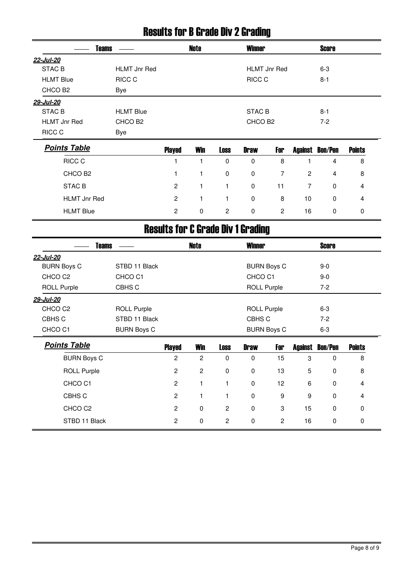#### Results for B Grade Div 2 Grading

|                     | <b>Teams</b>        | Note | <b>Winner</b>       | <b>Score</b> |  |
|---------------------|---------------------|------|---------------------|--------------|--|
| 22-Jul-20           |                     |      |                     |              |  |
| <b>STAC B</b>       | <b>HLMT Jnr Red</b> |      | <b>HLMT Jnr Red</b> | $6 - 3$      |  |
| <b>HLMT Blue</b>    | RICC C              |      | RICC C              | $8 - 1$      |  |
| CHCO B <sub>2</sub> | Bye                 |      |                     |              |  |
| 29-Jul-20           |                     |      |                     |              |  |
| STAC B              | <b>HLMT Blue</b>    |      | STAC B              | $8-1$        |  |
| HLMT Jnr Red        | CHCO B <sub>2</sub> |      | CHCO B <sub>2</sub> | $7-2$        |  |
| RICC C              | Bye                 |      |                     |              |  |
| $D - inA - T - L$   |                     |      |                     |              |  |

| <b>Points Table</b> | <b>Played</b> | Win      | Loss | <b>Draw</b> | For |    | <b>Against Bon/Pen</b> | <b>Points</b> |
|---------------------|---------------|----------|------|-------------|-----|----|------------------------|---------------|
| RICC C              |               |          | 0    | 0           | 8   |    | 4                      | 8             |
| CHCO B <sub>2</sub> |               |          | 0    | 0           | 7   | 2  | 4                      | 8             |
| STAC B              | 2             |          |      | $\mathbf 0$ | 11  |    | 0                      | 4             |
| <b>HLMT Jnr Red</b> | 2             |          |      | 0           | 8   | 10 | 0                      | 4             |
| <b>HLMT Blue</b>    | 2             | $\Omega$ | 2    | 0           | 2   | 16 | 0                      | 0             |

# Results for C Grade Div 1 Grading

| <b>Teams</b>        |                    |                | <b>Note</b>    |                | <b>Winner</b>      |                    |    | <b>Score</b>           |               |
|---------------------|--------------------|----------------|----------------|----------------|--------------------|--------------------|----|------------------------|---------------|
| 22-Jul-20           |                    |                |                |                |                    |                    |    |                        |               |
| <b>BURN Boys C</b>  | STBD 11 Black      |                |                |                |                    | <b>BURN Boys C</b> |    | $9 - 0$                |               |
| CHCO <sub>C2</sub>  | CHCO <sub>C1</sub> |                |                |                | CHCO <sub>C1</sub> |                    |    | $9 - 0$                |               |
| <b>ROLL Purple</b>  | CBHS C             |                |                |                | <b>ROLL Purple</b> |                    |    | $7-2$                  |               |
| 29-Jul-20           |                    |                |                |                |                    |                    |    |                        |               |
| CHCO <sub>C2</sub>  | <b>ROLL Purple</b> |                |                |                | <b>ROLL Purple</b> |                    |    | $6-3$                  |               |
| CBHS C              | STBD 11 Black      |                |                |                | CBHS C             |                    |    | $7-2$                  |               |
| CHCO <sub>C1</sub>  | <b>BURN Boys C</b> |                |                |                |                    | <b>BURN Boys C</b> |    | $6-3$                  |               |
| <b>Points Table</b> |                    | <b>Played</b>  | Win            | <b>Loss</b>    | <b>Draw</b>        | For                |    | <b>Against Bon/Pen</b> | <b>Points</b> |
| <b>BURN Boys C</b>  |                    | $\overline{c}$ | 2              | 0              | 0                  | 15                 | 3  | $\mathbf 0$            | 8             |
| <b>ROLL Purple</b>  |                    | $\overline{c}$ | $\overline{c}$ | $\mathbf 0$    | $\mathbf 0$        | 13                 | 5  | 0                      | 8             |
| CHCO <sub>C1</sub>  |                    | $\overline{c}$ | 1              |                | $\mathbf 0$        | 12                 | 6  | $\Omega$               | 4             |
| CBHS C              |                    | $\overline{2}$ | 1              |                | $\mathbf 0$        | 9                  | 9  | 0                      | 4             |
| CHCO <sub>C2</sub>  |                    | $\overline{2}$ | $\mathbf 0$    | 2              | $\Omega$           | 3                  | 15 | $\Omega$               | $\mathbf{0}$  |
| STBD 11 Black       |                    | $\overline{2}$ | $\mathbf 0$    | $\overline{2}$ | 0                  | $\overline{c}$     | 16 | 0                      | $\mathbf 0$   |